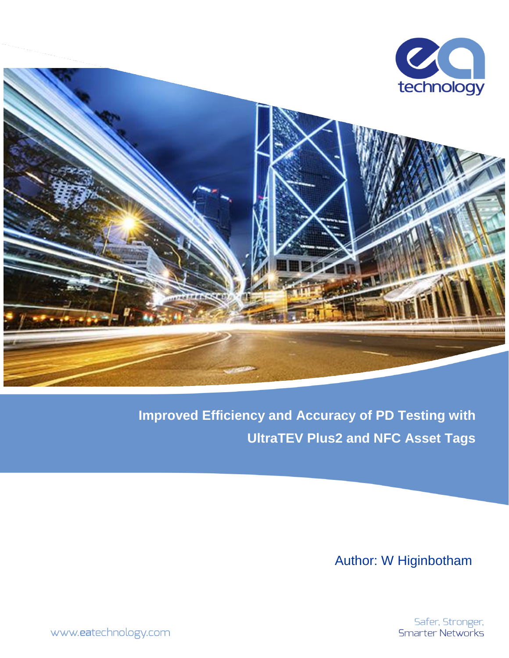

**Improved Efficiency and Accuracy of PD Testing with UltraTEV Plus2 and NFC Asset Tags**

Author: W Higinbotham

Safer, Stronger,<br>Smarter Networks

www.eatechnology.com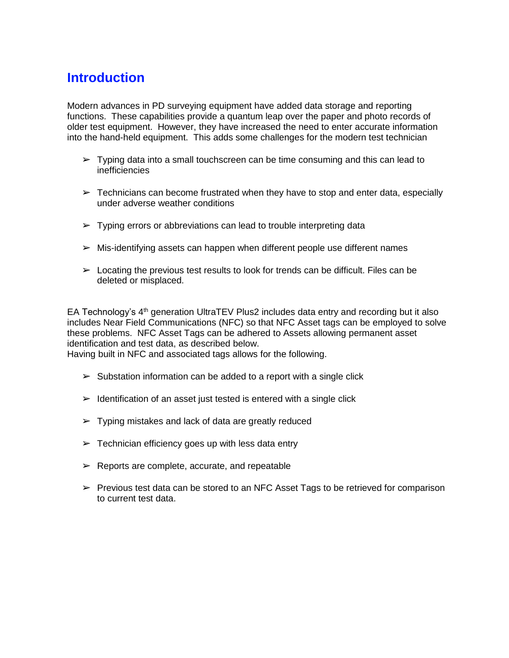#### **Introduction**

Modern advances in PD surveying equipment have added data storage and reporting functions. These capabilities provide a quantum leap over the paper and photo records of older test equipment. However, they have increased the need to enter accurate information into the hand-held equipment. This adds some challenges for the modern test technician

- $\triangleright$  Typing data into a small touchscreen can be time consuming and this can lead to inefficiencies
- $\triangleright$  Technicians can become frustrated when they have to stop and enter data, especially under adverse weather conditions
- $\triangleright$  Typing errors or abbreviations can lead to trouble interpreting data
- $\triangleright$  Mis-identifying assets can happen when different people use different names
- $\triangleright$  Locating the previous test results to look for trends can be difficult. Files can be deleted or misplaced.

EA Technology's 4<sup>th</sup> generation UltraTEV Plus2 includes data entry and recording but it also includes Near Field Communications (NFC) so that NFC Asset tags can be employed to solve these problems. NFC Asset Tags can be adhered to Assets allowing permanent asset identification and test data, as described below.

Having built in NFC and associated tags allows for the following.

- $\geq$  Substation information can be added to a report with a single click
- $\triangleright$  Identification of an asset just tested is entered with a single click
- $\triangleright$  Typing mistakes and lack of data are greatly reduced
- $\triangleright$  Technician efficiency goes up with less data entry
- $\blacktriangleright$  Reports are complete, accurate, and repeatable
- $\triangleright$  Previous test data can be stored to an NFC Asset Tags to be retrieved for comparison to current test data.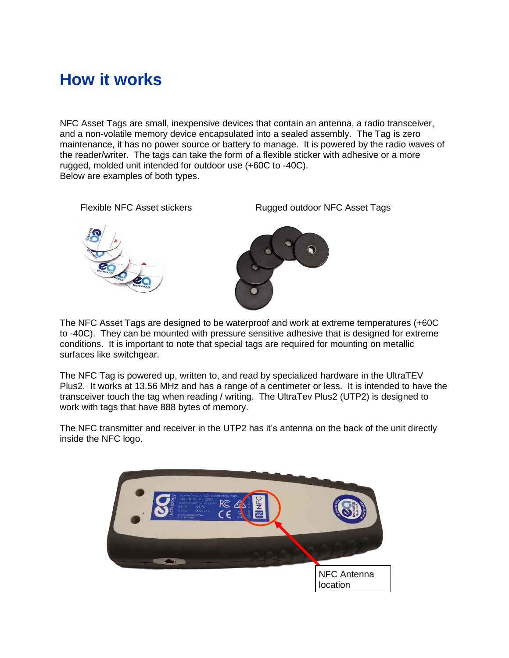## **How it works**

NFC Asset Tags are small, inexpensive devices that contain an antenna, a radio transceiver, and a non-volatile memory device encapsulated into a sealed assembly. The Tag is zero maintenance, it has no power source or battery to manage. It is powered by the radio waves of the reader/writer. The tags can take the form of a flexible sticker with adhesive or a more rugged, molded unit intended for outdoor use (+60C to -40C). Below are examples of both types.



The NFC Asset Tags are designed to be waterproof and work at extreme temperatures (+60C to -40C). They can be mounted with pressure sensitive adhesive that is designed for extreme conditions. It is important to note that special tags are required for mounting on metallic surfaces like switchgear.

The NFC Tag is powered up, written to, and read by specialized hardware in the UltraTEV Plus2. It works at 13.56 MHz and has a range of a centimeter or less. It is intended to have the transceiver touch the tag when reading / writing. The UltraTev Plus2 (UTP2) is designed to work with tags that have 888 bytes of memory.

The NFC transmitter and receiver in the UTP2 has it's antenna on the back of the unit directly inside the NFC logo.

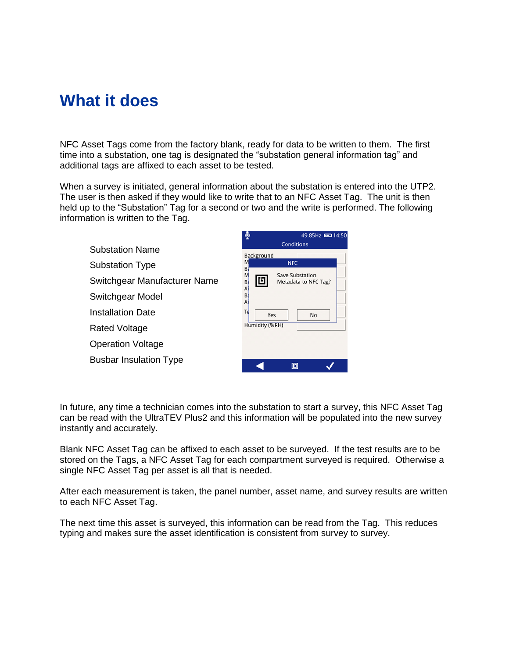### **What it does**

NFC Asset Tags come from the factory blank, ready for data to be written to them. The first time into a substation, one tag is designated the "substation general information tag" and additional tags are affixed to each asset to be tested.

When a survey is initiated, general information about the substation is entered into the UTP2. The user is then asked if they would like to write that to an NFC Asset Tag. The unit is then held up to the "Substation" Tag for a second or two and the write is performed. The following information is written to the Tag.



In future, any time a technician comes into the substation to start a survey, this NFC Asset Tag can be read with the UltraTEV Plus2 and this information will be populated into the new survey instantly and accurately.

Blank NFC Asset Tag can be affixed to each asset to be surveyed. If the test results are to be stored on the Tags, a NFC Asset Tag for each compartment surveyed is required. Otherwise a single NFC Asset Tag per asset is all that is needed.

After each measurement is taken, the panel number, asset name, and survey results are written to each NFC Asset Tag.

The next time this asset is surveyed, this information can be read from the Tag. This reduces typing and makes sure the asset identification is consistent from survey to survey.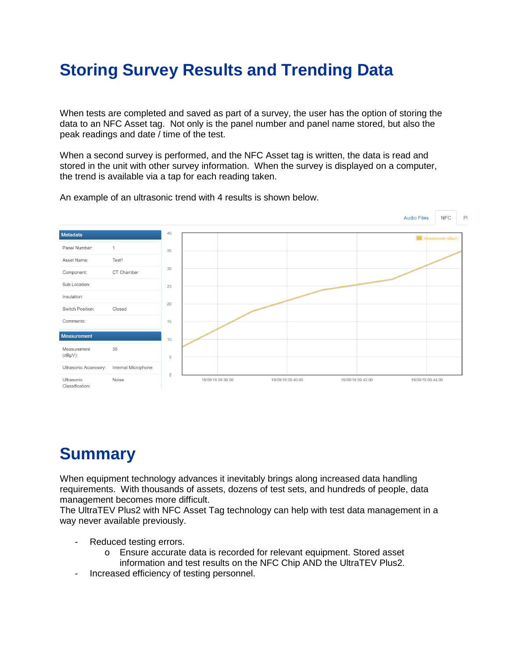# **Storing Survey Results and Trending Data**

When tests are completed and saved as part of a survey, the user has the option of storing the data to an NFC Asset tag. Not only is the panel number and panel name stored, but also the peak readings and date / time of the test.

When a second survey is performed, and the NFC Asset tag is written, the data is read and stored in the unit with other survey information. When the survey is displayed on a computer, the trend is available via a tap for each reading taken.



An example of an ultrasonic trend with 4 results is shown below.

## **Summary**

When equipment technology advances it inevitably brings along increased data handling requirements. With thousands of assets, dozens of test sets, and hundreds of people, data management becomes more difficult.

The UltraTEV Plus2 with NFC Asset Tag technology can help with test data management in a way never available previously.

- Reduced testing errors.
	- o Ensure accurate data is recorded for relevant equipment. Stored asset information and test results on the NFC Chip AND the UltraTEV Plus2.
- Increased efficiency of testing personnel.